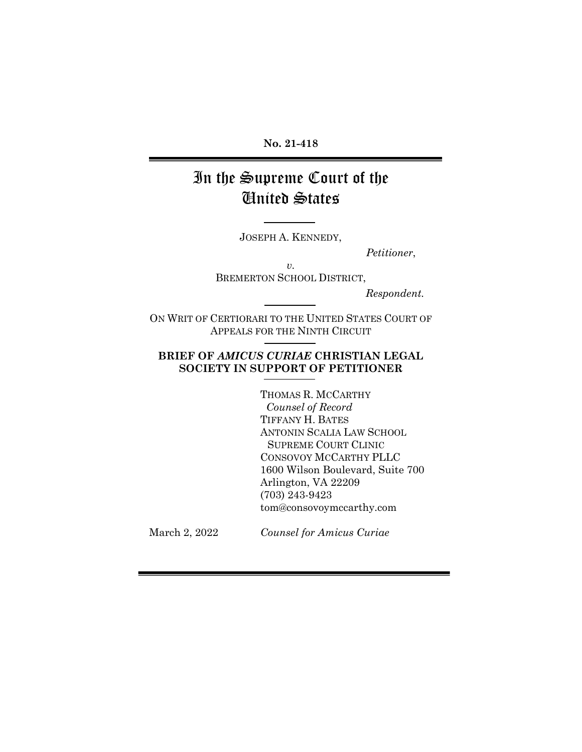#### **No. 21-418**

# In the Supreme Court of the United States

JOSEPH A. KENNEDY,

 *Petitioner*,

*v.*  BREMERTON SCHOOL DISTRICT,

 *Respondent.*

ON WRIT OF CERTIORARI TO THE UNITED STATES COURT OF APPEALS FOR THE NINTH CIRCUIT

#### **BRIEF OF** *AMICUS CURIAE* **CHRISTIAN LEGAL SOCIETY IN SUPPORT OF PETITIONER**

THOMAS R. MCCARTHY *Counsel of Record* TIFFANY H. BATES ANTONIN SCALIA LAW SCHOOL SUPREME COURT CLINIC CONSOVOY MCCARTHY PLLC 1600 Wilson Boulevard, Suite 700 Arlington, VA 22209 (703) 243-9423 tom@consovoymccarthy.com

March 2, 2022

*Counsel for Amicus Curiae*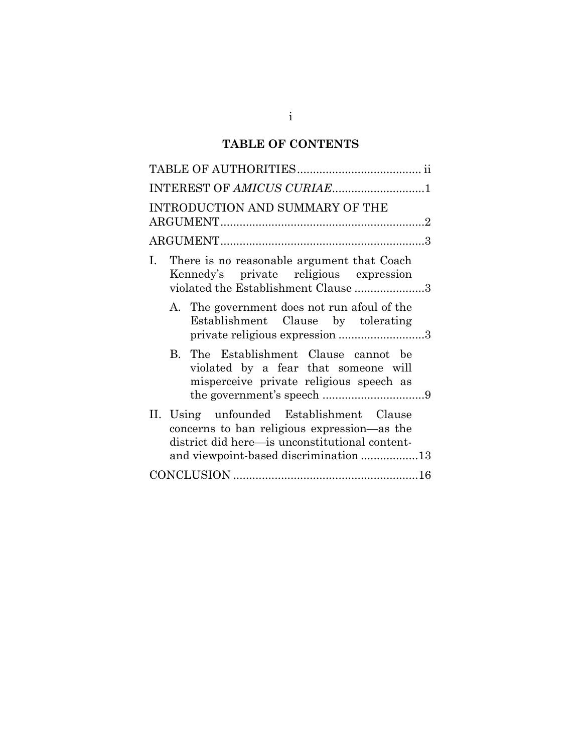# **TABLE OF CONTENTS**

| INTEREST OF AMICUS CURIAE1                                                                                                                                                         |
|------------------------------------------------------------------------------------------------------------------------------------------------------------------------------------|
| INTRODUCTION AND SUMMARY OF THE                                                                                                                                                    |
|                                                                                                                                                                                    |
| There is no reasonable argument that Coach<br>I.<br>Kennedy's private religious expression<br>violated the Establishment Clause 3                                                  |
| A. The government does not run afoul of the<br>Establishment Clause by tolerating<br>private religious expression 3                                                                |
| B. The Establishment Clause cannot be<br>violated by a fear that someone will<br>misperceive private religious speech as                                                           |
| II. Using unfounded Establishment Clause<br>concerns to ban religious expression-as the<br>district did here-is unconstitutional content-<br>and viewpoint-based discrimination 13 |
|                                                                                                                                                                                    |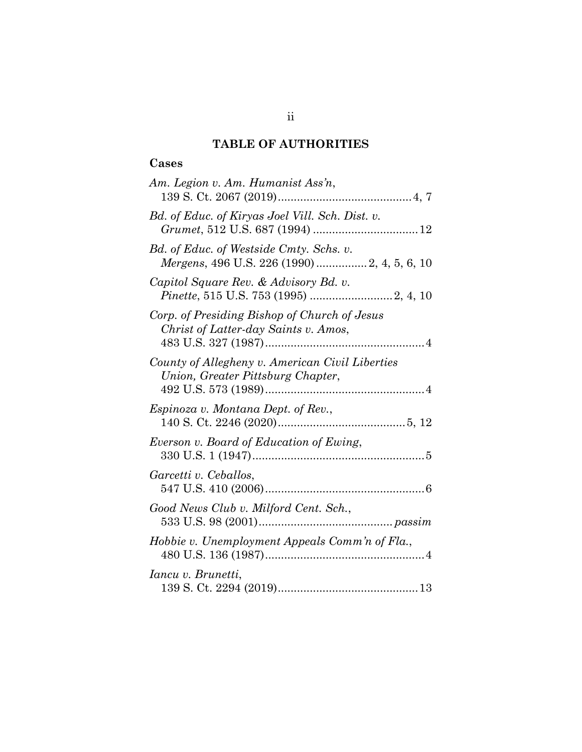## **TABLE OF AUTHORITIES**

#### **Cases**

| Am. Legion v. Am. Humanist Ass'n,                                                      |
|----------------------------------------------------------------------------------------|
| Bd. of Educ. of Kiryas Joel Vill. Sch. Dist. v.                                        |
| Bd. of Educ. of Westside Cmty. Schs. v.<br>Mergens, 496 U.S. 226 (1990) 2, 4, 5, 6, 10 |
| Capitol Square Rev. & Advisory Bd. v.                                                  |
| Corp. of Presiding Bishop of Church of Jesus<br>Christ of Latter-day Saints v. Amos,   |
| County of Allegheny v. American Civil Liberties<br>Union, Greater Pittsburg Chapter,   |
| <i>Espinoza v. Montana Dept. of Rev.,</i>                                              |
| Everson v. Board of Education of Ewing,                                                |
| Garcetti v. Ceballos,                                                                  |
| Good News Club v. Milford Cent. Sch.,                                                  |
| Hobbie v. Unemployment Appeals Comm'n of Fla.,                                         |
| Iancu v. Brunetti,                                                                     |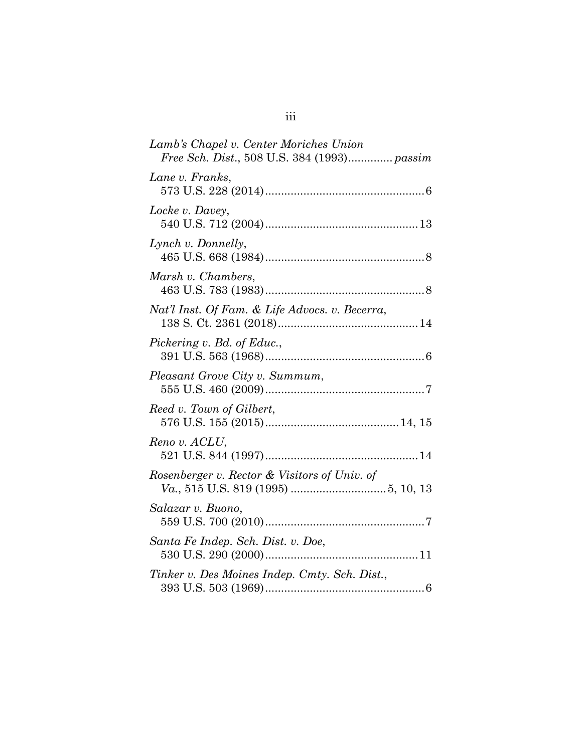| Lamb's Chapel v. Center Moriches Union<br>Free Sch. Dist., 508 U.S. 384 (1993) passim |
|---------------------------------------------------------------------------------------|
| Lane v. Franks,                                                                       |
| Locke v. Davey,                                                                       |
| Lynch v. Donnelly,                                                                    |
| Marsh v. Chambers,                                                                    |
| Nat'l Inst. Of Fam. & Life Advocs. v. Becerra,                                        |
| Pickering v. Bd. of Educ.,                                                            |
| Pleasant Grove City v. Summum,                                                        |
| Reed v. Town of Gilbert,                                                              |
| Reno v. ACLU,                                                                         |
| Rosenberger v. Rector & Visitors of Univ. of                                          |
| Salazar v. Buono,                                                                     |
| Santa Fe Indep. Sch. Dist. v. Doe,                                                    |
| Tinker v. Des Moines Indep. Cmty. Sch. Dist.,                                         |
|                                                                                       |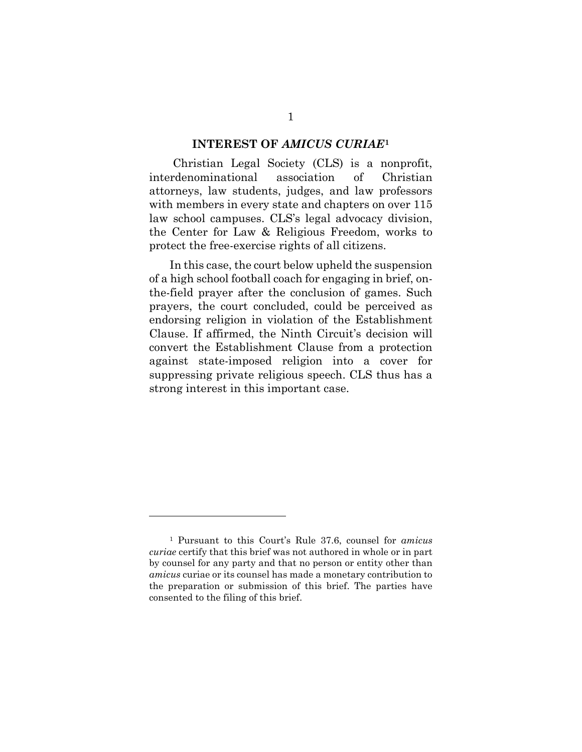#### **INTEREST OF** *AMICUS CURIAE***[1](#page-5-0)**

Christian Legal Society (CLS) is a nonprofit, interdenominational association of Christian attorneys, law students, judges, and law professors with members in every state and chapters on over 115 law school campuses. CLS's legal advocacy division, the Center for Law & Religious Freedom, works to protect the free-exercise rights of all citizens.

In this case, the court below upheld the suspension of a high school football coach for engaging in brief, onthe-field prayer after the conclusion of games. Such prayers, the court concluded, could be perceived as endorsing religion in violation of the Establishment Clause. If affirmed, the Ninth Circuit's decision will convert the Establishment Clause from a protection against state-imposed religion into a cover for suppressing private religious speech. CLS thus has a strong interest in this important case.

<span id="page-5-0"></span><sup>1</sup> Pursuant to this Court's Rule 37.6, counsel for *amicus curiae* certify that this brief was not authored in whole or in part by counsel for any party and that no person or entity other than *amicus* curiae or its counsel has made a monetary contribution to the preparation or submission of this brief. The parties have consented to the filing of this brief.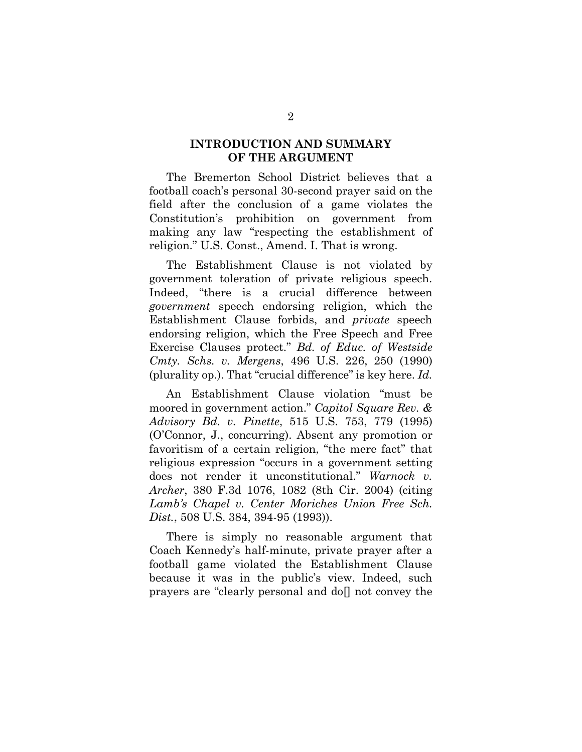#### **INTRODUCTION AND SUMMARY OF THE ARGUMENT**

The Bremerton School District believes that a football coach's personal 30-second prayer said on the field after the conclusion of a game violates the Constitution's prohibition on government from making any law "respecting the establishment of religion." U.S. Const., Amend. I. That is wrong.

The Establishment Clause is not violated by government toleration of private religious speech. Indeed, "there is a crucial difference between *government* speech endorsing religion, which the Establishment Clause forbids, and *private* speech endorsing religion, which the Free Speech and Free Exercise Clauses protect." *Bd. of Educ. of Westside Cmty. Schs. v. Mergens*, 496 U.S. 226, 250 (1990) (plurality op.). That "crucial difference" is key here. *Id.*

An Establishment Clause violation "must be moored in government action." *Capitol Square Rev. & Advisory Bd. v. Pinette*, 515 U.S. 753, 779 (1995) (O'Connor, J., concurring). Absent any promotion or favoritism of a certain religion, "the mere fact" that religious expression "occurs in a government setting does not render it unconstitutional." *Warnock v. Archer*, 380 F.3d 1076, 1082 (8th Cir. 2004) (citing *Lamb's Chapel v. Center Moriches Union Free Sch. Dist.*, 508 U.S. 384, 394-95 (1993)).

There is simply no reasonable argument that Coach Kennedy's half-minute, private prayer after a football game violated the Establishment Clause because it was in the public's view. Indeed, such prayers are "clearly personal and do[] not convey the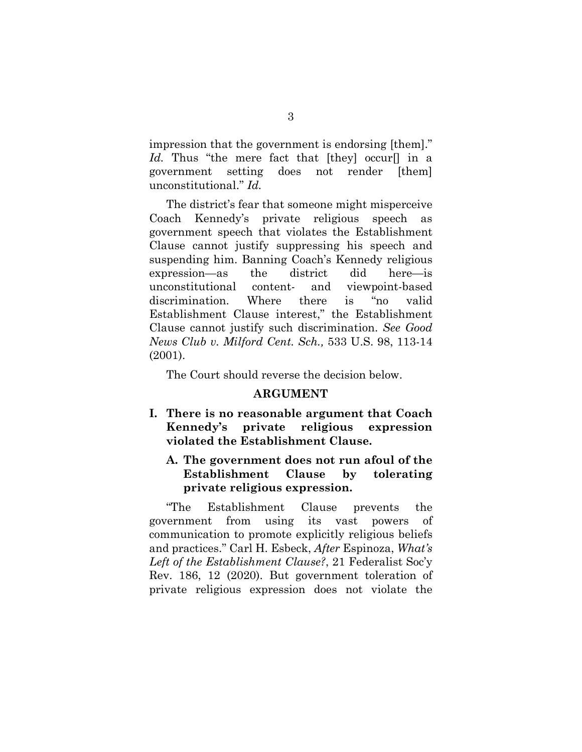impression that the government is endorsing [them]." Id. Thus "the mere fact that [they] occur<sup>[]</sup> in a government setting does not render [them] unconstitutional." *Id.*

The district's fear that someone might misperceive Coach Kennedy's private religious speech as government speech that violates the Establishment Clause cannot justify suppressing his speech and suspending him. Banning Coach's Kennedy religious expression—as the district did here—is unconstitutional content- and viewpoint-based discrimination. Where there is "no valid Establishment Clause interest," the Establishment Clause cannot justify such discrimination. *See Good News Club v. Milford Cent. Sch.,* 533 U.S. 98, 113-14 (2001).

The Court should reverse the decision below.

#### **ARGUMENT**

**I. There is no reasonable argument that Coach Kennedy's private religious expression violated the Establishment Clause.** 

### **A. The government does not run afoul of the Establishment Clause by tolerating private religious expression.**

"The Establishment Clause prevents the government from using its vast powers of communication to promote explicitly religious beliefs and practices." Carl H. Esbeck, *After* Espinoza, *What's Left of the Establishment Clause?*, 21 Federalist Soc'y Rev. 186, 12 (2020). But government toleration of private religious expression does not violate the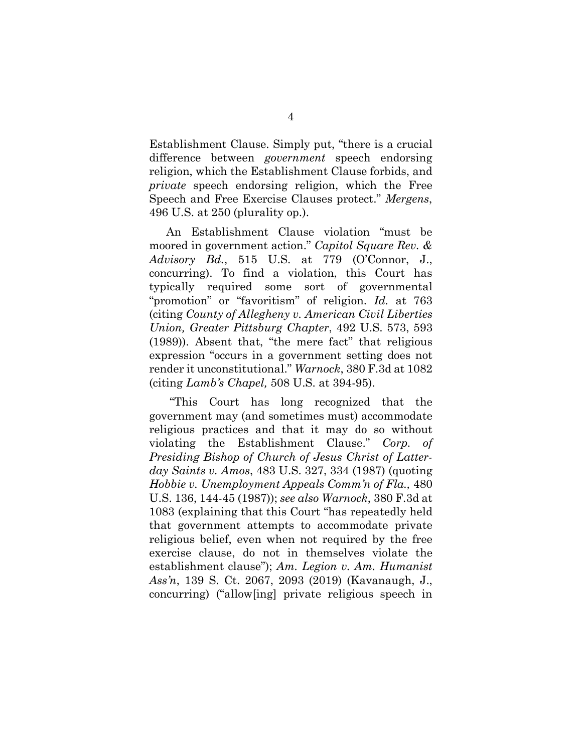Establishment Clause. Simply put, "there is a crucial difference between *government* speech endorsing religion, which the Establishment Clause forbids, and *private* speech endorsing religion, which the Free Speech and Free Exercise Clauses protect." *Mergens*, 496 U.S. at 250 (plurality op.).

An Establishment Clause violation "must be moored in government action." *Capitol Square Rev. & Advisory Bd.*, 515 U.S. at 779 (O'Connor, J., concurring). To find a violation, this Court has typically required some sort of governmental "promotion" or "favoritism" of religion. *Id.* at 763 (citing *County of Allegheny v. American Civil Liberties Union, Greater Pittsburg Chapter*, 492 U.S. 573, 593 (1989)). Absent that, "the mere fact" that religious expression "occurs in a government setting does not render it unconstitutional." *Warnock*, 380 F.3d at 1082 (citing *Lamb's Chapel,* 508 U.S. at 394-95).

"This Court has long recognized that the government may (and sometimes must) accommodate religious practices and that it may do so without violating the Establishment Clause." *Corp. of Presiding Bishop of Church of Jesus Christ of Latterday Saints v. Amos*, 483 U.S. 327, 334 (1987) (quoting *Hobbie v. Unemployment Appeals Comm'n of Fla.,* 480 U.S. 136, 144-45 (1987)); *see also Warnock*, 380 F.3d at 1083 (explaining that this Court "has repeatedly held that government attempts to accommodate private religious belief, even when not required by the free exercise clause, do not in themselves violate the establishment clause"); *Am. Legion v. Am. Humanist Ass'n*, 139 S. Ct. 2067, 2093 (2019) (Kavanaugh, J., concurring) ("allow[ing] private religious speech in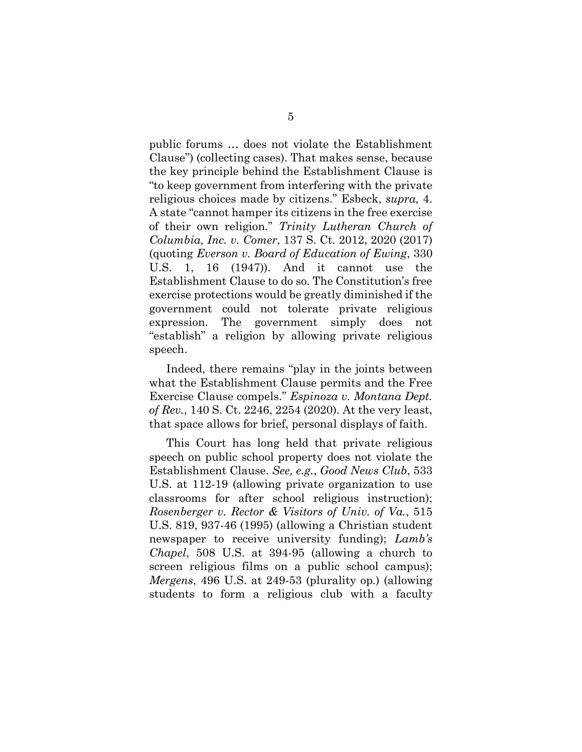public forums … does not violate the Establishment Clause") (collecting cases). That makes sense, because the key principle behind the Establishment Clause is "to keep government from interfering with the private religious choices made by citizens." Esbeck, *supra,* 4. A state "cannot hamper its citizens in the free exercise of their own religion." *Trinity Lutheran Church of Columbia, Inc. v. Comer*, 137 S. Ct. 2012, 2020 (2017) (quoting *Everson v. Board of Education of Ewing*, 330 U.S. 1, 16 (1947)). And it cannot use the Establishment Clause to do so. The Constitution's free exercise protections would be greatly diminished if the government could not tolerate private religious expression. The government simply does not "establish" a religion by allowing private religious speech.

Indeed, there remains "play in the joints between what the Establishment Clause permits and the Free Exercise Clause compels." *Espinoza v. Montana Dept. of Rev.*, 140 S. Ct. 2246, 2254 (2020). At the very least, that space allows for brief, personal displays of faith.

This Court has long held that private religious speech on public school property does not violate the Establishment Clause. *See, e.g.*, *Good News Club*, 533 U.S. at 112-19 (allowing private organization to use classrooms for after school religious instruction); *Rosenberger v. Rector & Visitors of Univ. of Va.*, 515 U.S. 819, 937-46 (1995) (allowing a Christian student newspaper to receive university funding); *Lamb's Chapel*, 508 U.S. at 394-95 (allowing a church to screen religious films on a public school campus); *Mergens*, 496 U.S. at 249-53 (plurality op.) (allowing students to form a religious club with a faculty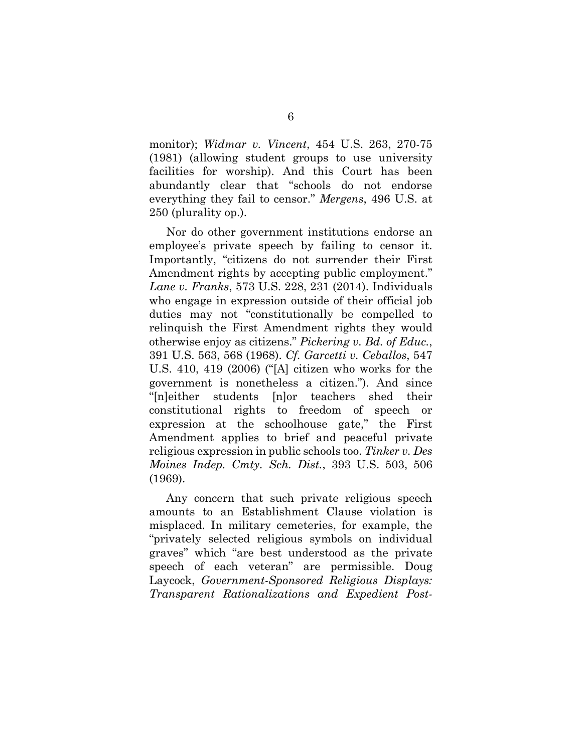monitor); *Widmar v. Vincent*, 454 U.S. 263, 270-75 (1981) (allowing student groups to use university facilities for worship). And this Court has been abundantly clear that "schools do not endorse everything they fail to censor." *Mergens*, 496 U.S. at 250 (plurality op.).

Nor do other government institutions endorse an employee's private speech by failing to censor it. Importantly, "citizens do not surrender their First Amendment rights by accepting public employment." *Lane v. Franks*, 573 U.S. 228, 231 (2014). Individuals who engage in expression outside of their official job duties may not "constitutionally be compelled to relinquish the First Amendment rights they would otherwise enjoy as citizens." *Pickering v. Bd. of Educ.*, 391 U.S. 563, 568 (1968). *Cf. Garcetti v. Ceballos*, 547 U.S. 410, 419 (2006) ("[A] citizen who works for the government is nonetheless a citizen."). And since "[n]either students [n]or teachers shed their constitutional rights to freedom of speech or expression at the schoolhouse gate," the First Amendment applies to brief and peaceful private religious expression in public schools too. *Tinker v. Des Moines Indep. Cmty. Sch. Dist.*, 393 U.S. 503, 506 (1969).

Any concern that such private religious speech amounts to an Establishment Clause violation is misplaced. In military cemeteries, for example, the "privately selected religious symbols on individual graves" which "are best understood as the private speech of each veteran" are permissible. Doug Laycock, *Government-Sponsored Religious Displays: Transparent Rationalizations and Expedient Post-*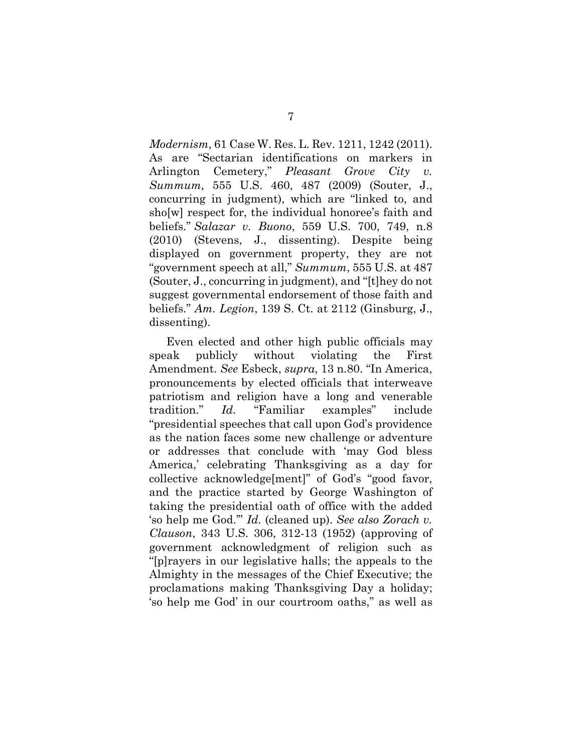*Modernism*, 61 Case W. Res. L. Rev. 1211, 1242 (2011). As are "Sectarian identifications on markers in Arlington Cemetery," *Pleasant Grove City v. Summum*, 555 U.S. 460, 487 (2009) (Souter, J., concurring in judgment), which are "linked to, and sho[w] respect for, the individual honoree's faith and beliefs." *Salazar v. Buono*, 559 U.S. 700, 749, n.8 (2010) (Stevens, J., dissenting). Despite being displayed on government property, they are not "government speech at all," *Summum*, 555 U.S. at 487 (Souter, J., concurring in judgment), and "[t]hey do not suggest governmental endorsement of those faith and beliefs." *Am. Legion*, 139 S. Ct. at 2112 (Ginsburg, J., dissenting).

Even elected and other high public officials may speak publicly without violating the First Amendment. *See* Esbeck, *supra*, 13 n.80. "In America, pronouncements by elected officials that interweave patriotism and religion have a long and venerable tradition." *Id.* "Familiar examples" include "presidential speeches that call upon God's providence as the nation faces some new challenge or adventure or addresses that conclude with 'may God bless America,' celebrating Thanksgiving as a day for collective acknowledge[ment]" of God's "good favor, and the practice started by George Washington of taking the presidential oath of office with the added 'so help me God.'" *Id.* (cleaned up). *See also Zorach v. Clauson*, 343 U.S. 306, 312-13 (1952) (approving of government acknowledgment of religion such as "[p]rayers in our legislative halls; the appeals to the Almighty in the messages of the Chief Executive; the proclamations making Thanksgiving Day a holiday; 'so help me God' in our courtroom oaths," as well as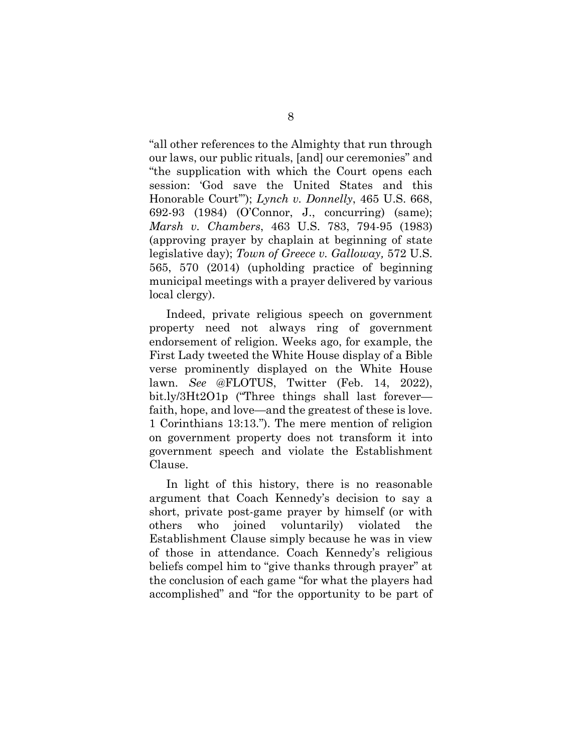"all other references to the Almighty that run through our laws, our public rituals, [and] our ceremonies" and "the supplication with which the Court opens each session: 'God save the United States and this Honorable Court'"); *Lynch v. Donnelly*, 465 U.S. 668, 692-93 (1984) (O'Connor, J., concurring) (same); *Marsh v. Chambers*, 463 U.S. 783, 794-95 (1983) (approving prayer by chaplain at beginning of state legislative day); *Town of Greece v. Galloway,* 572 U.S. 565, 570 (2014) (upholding practice of beginning municipal meetings with a prayer delivered by various local clergy).

Indeed, private religious speech on government property need not always ring of government endorsement of religion. Weeks ago, for example, the First Lady tweeted the White House display of a Bible verse prominently displayed on the White House lawn. *See* @FLOTUS, Twitter (Feb. 14, 2022), bit.ly/3Ht2O1p ("Three things shall last forever faith, hope, and love—and the greatest of these is love. 1 Corinthians 13:13."). The mere mention of religion on government property does not transform it into government speech and violate the Establishment Clause.

In light of this history, there is no reasonable argument that Coach Kennedy's decision to say a short, private post-game prayer by himself (or with others who joined voluntarily) violated the Establishment Clause simply because he was in view of those in attendance. Coach Kennedy's religious beliefs compel him to "give thanks through prayer" at the conclusion of each game "for what the players had accomplished" and "for the opportunity to be part of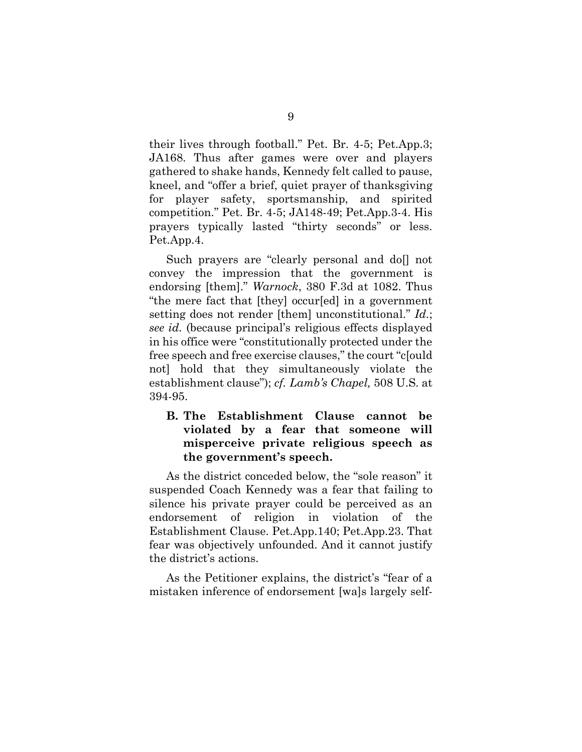their lives through football." Pet. Br. 4-5; Pet.App.3; JA168. Thus after games were over and players gathered to shake hands, Kennedy felt called to pause, kneel, and "offer a brief, quiet prayer of thanksgiving for player safety, sportsmanship, and spirited competition." Pet. Br. 4-5; JA148-49; Pet.App.3-4. His prayers typically lasted "thirty seconds" or less. Pet.App.4.

Such prayers are "clearly personal and doll not convey the impression that the government is endorsing [them]." *Warnock*, 380 F.3d at 1082. Thus "the mere fact that [they] occur[ed] in a government setting does not render [them] unconstitutional." *Id.*; *see id.* (because principal's religious effects displayed in his office were "constitutionally protected under the free speech and free exercise clauses," the court "c[ould not] hold that they simultaneously violate the establishment clause"); *cf. Lamb's Chapel,* 508 U.S. at 394-95.

#### **B. The Establishment Clause cannot be violated by a fear that someone will misperceive private religious speech as the government's speech.**

As the district conceded below, the "sole reason" it suspended Coach Kennedy was a fear that failing to silence his private prayer could be perceived as an endorsement of religion in violation of the Establishment Clause. Pet.App.140; Pet.App.23. That fear was objectively unfounded. And it cannot justify the district's actions.

As the Petitioner explains, the district's "fear of a mistaken inference of endorsement [wa]s largely self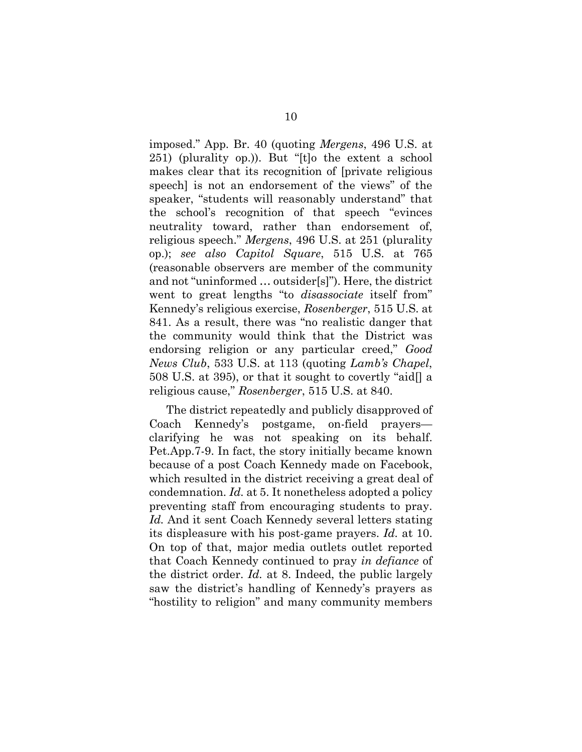imposed." App. Br. 40 (quoting *Mergens*, 496 U.S. at 251) (plurality op.)). But "[t]o the extent a school makes clear that its recognition of [private religious speech] is not an endorsement of the views" of the speaker, "students will reasonably understand" that the school's recognition of that speech "evinces neutrality toward, rather than endorsement of, religious speech." *Mergens*, 496 U.S. at 251 (plurality op.); *see also Capitol Square*, 515 U.S. at 765 (reasonable observers are member of the community and not "uninformed … outsider[s]"). Here, the district went to great lengths "to *disassociate* itself from" Kennedy's religious exercise, *Rosenberger*, 515 U.S. at 841. As a result, there was "no realistic danger that the community would think that the District was endorsing religion or any particular creed," *Good News Club*, 533 U.S. at 113 (quoting *Lamb's Chapel*, 508 U.S. at 395), or that it sought to covertly "aid[] a religious cause," *Rosenberger*, 515 U.S. at 840.

The district repeatedly and publicly disapproved of Coach Kennedy's postgame, on-field prayers clarifying he was not speaking on its behalf. Pet.App.7-9. In fact, the story initially became known because of a post Coach Kennedy made on Facebook, which resulted in the district receiving a great deal of condemnation. *Id.* at 5. It nonetheless adopted a policy preventing staff from encouraging students to pray. *Id.* And it sent Coach Kennedy several letters stating its displeasure with his post-game prayers. *Id.* at 10. On top of that, major media outlets outlet reported that Coach Kennedy continued to pray *in defiance* of the district order. *Id.* at 8. Indeed, the public largely saw the district's handling of Kennedy's prayers as "hostility to religion" and many community members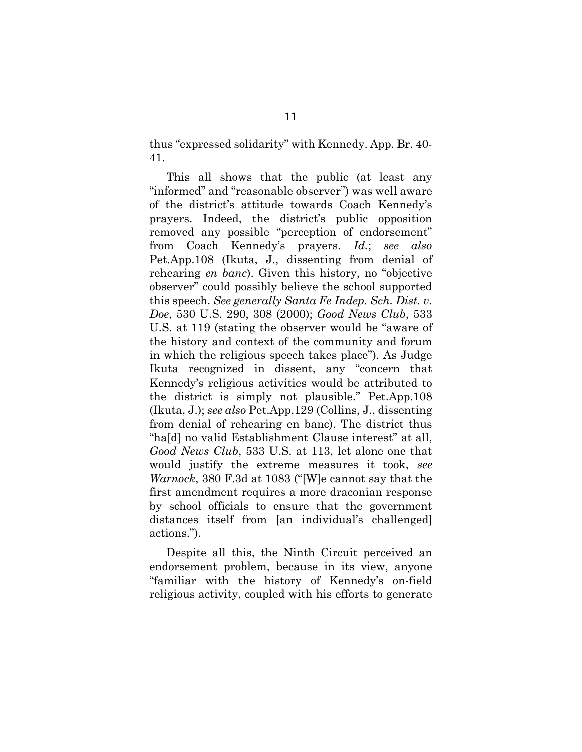thus "expressed solidarity" with Kennedy. App. Br. 40- 41.

This all shows that the public (at least any "informed" and "reasonable observer") was well aware of the district's attitude towards Coach Kennedy's prayers. Indeed, the district's public opposition removed any possible "perception of endorsement" from Coach Kennedy's prayers. *Id.*; *see also*  Pet.App.108 (Ikuta, J., dissenting from denial of rehearing *en banc*). Given this history, no "objective observer" could possibly believe the school supported this speech. *See generally Santa Fe Indep. Sch. Dist. v. Doe*, 530 U.S. 290, 308 (2000); *Good News Club*, 533 U.S. at 119 (stating the observer would be "aware of the history and context of the community and forum in which the religious speech takes place"). As Judge Ikuta recognized in dissent, any "concern that Kennedy's religious activities would be attributed to the district is simply not plausible." Pet.App.108 (Ikuta, J.); *see also* Pet.App.129 (Collins, J., dissenting from denial of rehearing en banc). The district thus "ha[d] no valid Establishment Clause interest" at all, *Good News Club*, 533 U.S. at 113, let alone one that would justify the extreme measures it took, *see Warnock*, 380 F.3d at 1083 ("[W]e cannot say that the first amendment requires a more draconian response by school officials to ensure that the government distances itself from [an individual's challenged] actions.").

Despite all this, the Ninth Circuit perceived an endorsement problem, because in its view, anyone "familiar with the history of Kennedy's on-field religious activity, coupled with his efforts to generate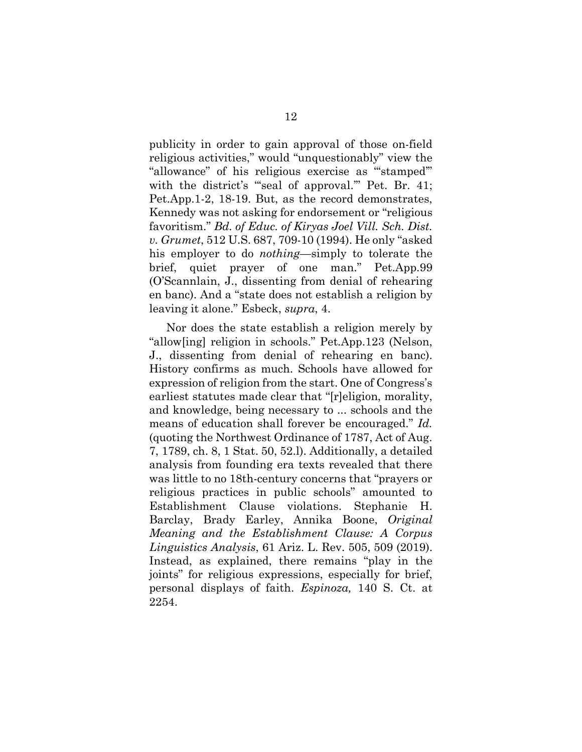publicity in order to gain approval of those on-field religious activities," would "unquestionably" view the "allowance" of his religious exercise as "'stamped'" with the district's "seal of approval." Pet. Br. 41; Pet.App.1-2, 18-19. But, as the record demonstrates, Kennedy was not asking for endorsement or "religious favoritism." *Bd. of Educ. of Kiryas Joel Vill. Sch. Dist. v. Grumet*, 512 U.S. 687, 709-10 (1994). He only "asked his employer to do *nothing*—simply to tolerate the brief, quiet prayer of one man." Pet.App.99 (O'Scannlain, J., dissenting from denial of rehearing en banc). And a "state does not establish a religion by leaving it alone." Esbeck, *supra*, 4.

Nor does the state establish a religion merely by "allow[ing] religion in schools." Pet.App.123 (Nelson, J., dissenting from denial of rehearing en banc). History confirms as much. Schools have allowed for expression of religion from the start. One of Congress's earliest statutes made clear that "[r]eligion, morality, and knowledge, being necessary to ... schools and the means of education shall forever be encouraged." *Id.* (quoting the Northwest Ordinance of 1787, Act of Aug. 7, 1789, ch. 8, 1 Stat. 50, 52.l). Additionally, a detailed analysis from founding era texts revealed that there was little to no 18th-century concerns that "prayers or religious practices in public schools" amounted to Establishment Clause violations. Stephanie H. Barclay, Brady Earley, Annika Boone, *Original Meaning and the Establishment Clause: A Corpus Linguistics Analysis*, 61 Ariz. L. Rev. 505, 509 (2019). Instead, as explained, there remains "play in the joints" for religious expressions, especially for brief, personal displays of faith. *Espinoza,* 140 S. Ct. at 2254.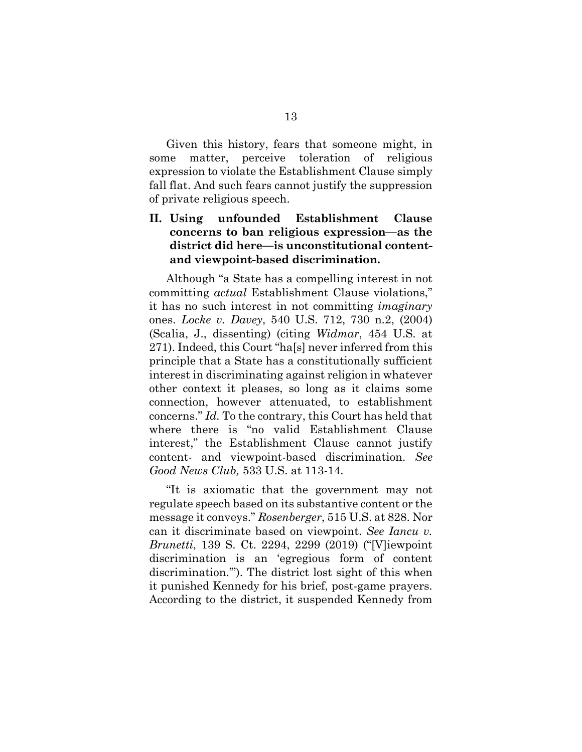Given this history, fears that someone might, in some matter, perceive toleration of religious expression to violate the Establishment Clause simply fall flat. And such fears cannot justify the suppression of private religious speech.

#### **II. Using unfounded Establishment Clause concerns to ban religious expression—as the district did here—is unconstitutional contentand viewpoint-based discrimination.**

Although "a State has a compelling interest in not committing *actual* Establishment Clause violations," it has no such interest in not committing *imaginary*  ones. *Locke v. Davey*, 540 U.S. 712, 730 n.2, (2004) (Scalia, J., dissenting) (citing *Widmar*, 454 U.S. at 271). Indeed, this Court "ha[s] never inferred from this principle that a State has a constitutionally sufficient interest in discriminating against religion in whatever other context it pleases, so long as it claims some connection, however attenuated, to establishment concerns." *Id.* To the contrary, this Court has held that where there is "no valid Establishment Clause interest," the Establishment Clause cannot justify content- and viewpoint-based discrimination. *See Good News Club,* 533 U.S. at 113-14.

"It is axiomatic that the government may not regulate speech based on its substantive content or the message it conveys." *Rosenberger*, 515 U.S. at 828. Nor can it discriminate based on viewpoint. *See Iancu v. Brunetti*, 139 S. Ct. 2294, 2299 (2019) ("[V]iewpoint discrimination is an 'egregious form of content discrimination.'"). The district lost sight of this when it punished Kennedy for his brief, post-game prayers. According to the district, it suspended Kennedy from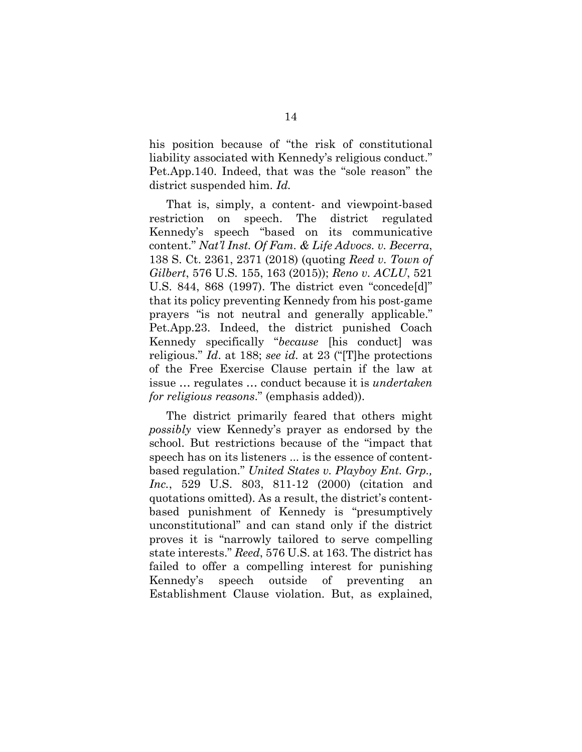his position because of "the risk of constitutional liability associated with Kennedy's religious conduct." Pet.App.140. Indeed, that was the "sole reason" the district suspended him. *Id.*

That is, simply, a content- and viewpoint-based restriction on speech. The district regulated Kennedy's speech "based on its communicative content." *Nat'l Inst. Of Fam. & Life Advocs. v. Becerra*, 138 S. Ct. 2361, 2371 (2018) (quoting *Reed v. Town of Gilbert*, 576 U.S. 155, 163 (2015)); *Reno v. ACLU*, 521 U.S. 844, 868 (1997). The district even "concede[d]" that its policy preventing Kennedy from his post-game prayers "is not neutral and generally applicable." Pet.App.23. Indeed, the district punished Coach Kennedy specifically "*because* [his conduct] was religious." *Id*. at 188; *see id.* at 23 ("[T]he protections of the Free Exercise Clause pertain if the law at issue … regulates … conduct because it is *undertaken for religious reasons*." (emphasis added)).

The district primarily feared that others might *possibly* view Kennedy's prayer as endorsed by the school. But restrictions because of the "impact that speech has on its listeners ... is the essence of contentbased regulation." *United States v. Playboy Ent. Grp., Inc.*, 529 U.S. 803, 811-12 (2000) (citation and quotations omitted). As a result, the district's contentbased punishment of Kennedy is "presumptively unconstitutional" and can stand only if the district proves it is "narrowly tailored to serve compelling state interests." *Reed*, 576 U.S. at 163. The district has failed to offer a compelling interest for punishing Kennedy's speech outside of preventing an Establishment Clause violation. But, as explained,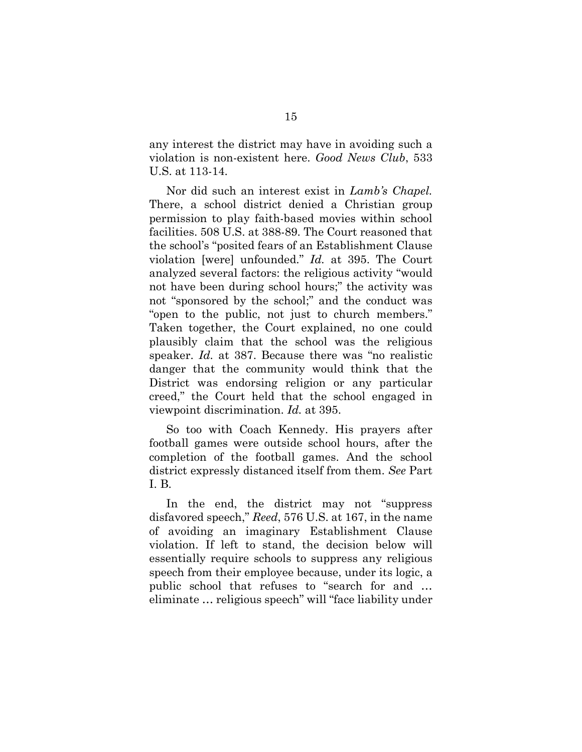any interest the district may have in avoiding such a violation is non-existent here. *Good News Club*, 533 U.S. at 113-14.

Nor did such an interest exist in *Lamb's Chapel.*  There, a school district denied a Christian group permission to play faith-based movies within school facilities. 508 U.S. at 388-89. The Court reasoned that the school's "posited fears of an Establishment Clause violation [were] unfounded." *Id.* at 395. The Court analyzed several factors: the religious activity "would not have been during school hours;" the activity was not "sponsored by the school;" and the conduct was "open to the public, not just to church members." Taken together, the Court explained, no one could plausibly claim that the school was the religious speaker. *Id.* at 387. Because there was "no realistic danger that the community would think that the District was endorsing religion or any particular creed," the Court held that the school engaged in viewpoint discrimination. *Id.* at 395.

So too with Coach Kennedy. His prayers after football games were outside school hours, after the completion of the football games. And the school district expressly distanced itself from them. *See* Part I. B.

In the end, the district may not "suppress disfavored speech," *Reed*, 576 U.S. at 167, in the name of avoiding an imaginary Establishment Clause violation. If left to stand, the decision below will essentially require schools to suppress any religious speech from their employee because, under its logic, a public school that refuses to "search for and … eliminate … religious speech" will "face liability under